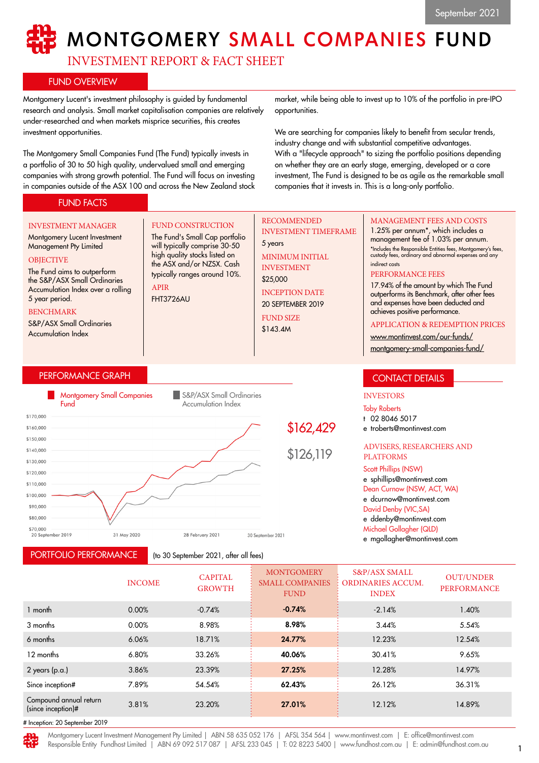# **MONTGOMERY SMALL COMPANIES FUND**

INVESTMENT REPORT & FACT SHEET

FUND CONSTRUCTION The Fund's Small Cap portfolio will typically comprise 30-50 high quality stocks listed on the ASX and/or NZSX. Cash typically ranges around 10%.

# FUND OVERVIEW

Montgomery Lucent's investment philosophy is guided by fundamental research and analysis. Small market capitalisation companies are relatively under-researched and when markets misprice securities, this creates investment opportunities.

The Montgomery Small Companies Fund (The Fund) typically invests in a portfolio of 30 to 50 high quality, undervalued small and emerging companies with strong growth potential. The Fund will focus on investing in companies outside of the ASX 100 and across the New Zealand stock

market, while being able to invest up to 10% of the portfolio in pre-IPO opportunities.

We are searching for companies likely to benefit from secular trends, industry change and with substantial competitive advantages. With a "lifecycle approach" to sizing the portfolio positions depending on whether they are an early stage, emerging, developed or a core investment, The Fund is designed to be as agile as the remarkable small companies that it invests in. This is a long-only portfolio.

# FUND FACTS

#### INVESTMENT MANAGER

Montgomery Lucent Investment Management Pty Limited **OBJECTIVE** 

#### The Fund aims to outperform the S&P/ASX Small Ordinaries Accumulation Index over a rolling 5 year period.

#### BENCHMARK

S&P/ASX Small Ordinaries Accumulation Index

# PERFORMANCE GRAPH



APIR FHT3726AU

PORTFOLIO PERFORMANCE

(to 30 September 2021, after all fees)

# RECOMMENDED INVESTMENT TIMEFRAME

5 years MINIMUM INITIAL INVESTMENT

\$25,000 INCEPTION DATE

20 SEPTEMBER 2019 FUND SIZE

\$143.4M

## MANAGEMENT FEES AND COSTS

1.25% per annum\*, which includes a management fee of 1.03% per annum. \*Includes the Responsible Entities fees, Montgomery's fees, custody fees, ordinary and abnormal expenses and any indirect costs

#### PERFORMANCE FEES

17.94% of the amount by which The Fund outperforms its Benchmark, after other fees and expenses have been deducted and achieves positive performance.

#### APPLICATION & REDEMPTION PRICES

[www.montinvest.com/our-funds/](http://www.montinvest.com/our-funds/montgomery-small-companies-fund/)

[montgomery-small-companies-fund/](http://www.montinvest.com/our-funds/montgomery-small-companies-fund/)

# CONTACT DETAILS

# INVESTORS

Toby Roberts

t 02 8046 5017

e troberts@montinvest.com

#### ADVISERS, RESEARCHERS AND PLATFORMS

#### Scott Phillips (NSW)

e sphillips@montinvest.com Dean Curnow (NSW, ACT, WA) e dcurnow@montinvest.com David Denby (VIC,SA) e ddenby@montinvest.com Michael Gollagher (QLD)

e mgollagher@montinvest.com

|                                              | <b>INCOME</b> | <b>CAPITAL</b><br><b>GROWTH</b> | <b>MONTGOMERY</b><br><b>SMALL COMPANIES</b><br><b>FUND</b> | <b>S&amp;P/ASX SMALL</b><br><b>ORDINARIES ACCUM.</b><br><b>INDEX</b> | <b>OUT/UNDER</b><br><b>PERFORMANCE</b> |
|----------------------------------------------|---------------|---------------------------------|------------------------------------------------------------|----------------------------------------------------------------------|----------------------------------------|
| 1 month                                      | 0.00%         | $-0.74%$                        | $-0.74%$                                                   | $-2.14%$                                                             | 1.40%                                  |
| 3 months                                     | 0.00%         | 8.98%                           | 8.98%                                                      | 3.44%                                                                | 5.54%                                  |
| 6 months                                     | 6.06%         | 18.71%                          | 24.77%                                                     | 12.23%                                                               | 12.54%                                 |
| 12 months                                    | 6.80%         | 33.26%                          | 40.06%                                                     | 30.41%                                                               | 9.65%                                  |
| $2$ years (p.a.)                             | 3.86%         | 23.39%                          | 27.25%                                                     | 12.28%                                                               | 14.97%                                 |
| Since inception#                             | 7.89%         | 54.54%                          | 62.43%                                                     | 26.12%                                                               | 36.31%                                 |
| Compound annual return<br>(since inception)# | 3.81%         | 23.20%                          | 27.01%                                                     | 12.12%                                                               | 14.89%                                 |
| $\cdots$ $\cdots$ $\cdots$ $\cdots$ $\cdots$ |               |                                 |                                                            |                                                                      |                                        |

# Inception: 20 September 2019

Montgomery Lucent Investment Management Pty Limited | ABN 58 635 052 176 | AFSL 354 564 | www.montinvest.com | E: office@montinvest.com Responsible Entity Fundhost Limited | ABN 69 092 517 087 | AFSL 233 045 | T: 02 8223 5400 | www.fundhost.com.au | E: admin@fundhost.com.au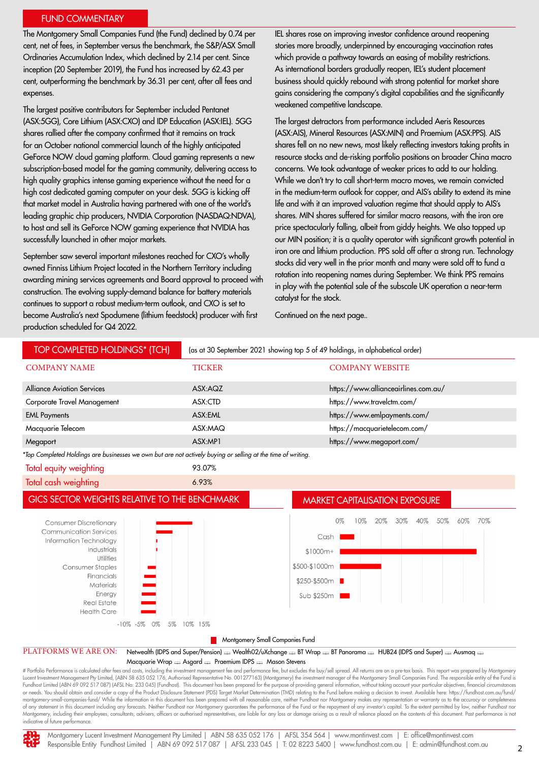#### FUND COMMENTARY

The Montgomery Small Companies Fund (the Fund) declined by 0.74 per cent, net of fees, in September versus the benchmark, the S&P/ASX Small Ordinaries Accumulation Index, which declined by 2.14 per cent. Since inception (20 September 2019), the Fund has increased by 62.43 per cent, outperforming the benchmark by 36.31 per cent, after all fees and expenses.

The largest positive contributors for September included Pentanet (ASX:5GG), Core Lithium (ASX:CXO) and IDP Education (ASX:IEL). 5GG shares rallied after the company confirmed that it remains on track for an October national commercial launch of the highly anticipated GeForce NOW cloud gaming platform. Cloud gaming represents a new subscription-based model for the gaming community, delivering access to high quality graphics intense gaming experience without the need for a high cost dedicated gaming computer on your desk. 5GG is kicking off that market model in Australia having partnered with one of the world's leading graphic chip producers, NVIDIA Corporation (NASDAQ:NDVA), to host and sell its GeForce NOW gaming experience that NVIDIA has successfully launched in other major markets.

September saw several important milestones reached for CXO's wholly owned Finniss Lithium Project located in the Northern Territory including awarding mining services agreements and Board approval to proceed with construction. The evolving supply-demand balance for battery materials continues to support a robust medium-term outlook, and CXO is set to become Australia's next Spodumene (lithium feedstock) producer with first production scheduled for Q4 2022.

IEL shares rose on improving investor confidence around reopening stories more broadly, underpinned by encouraging vaccination rates which provide a pathway towards an easing of mobility restrictions. As international borders gradually reopen, IEL's student placement business should quickly rebound with strong potential for market share gains considering the company's digital capabilities and the significantly weakened competitive landscape.

The largest detractors from performance included Aeris Resources (ASX:AIS), Mineral Resources (ASX:MIN) and Praemium (ASX:PPS). AIS shares fell on no new news, most likely reflecting investors taking profits in resource stocks and de-risking portfolio positions on broader China macro concerns. We took advantage of weaker prices to add to our holding. While we don't try to call short-term macro moves, we remain convicted in the medium-term outlook for copper, and AIS's ability to extend its mine life and with it an improved valuation regime that should apply to AIS's shares. MIN shares suffered for similar macro reasons, with the iron ore price spectacularly falling, albeit from giddy heights. We also topped up our MIN position; it is a quality operator with significant growth potential in iron ore and lithium production. PPS sold off after a strong run. Technology stocks did very well in the prior month and many were sold off to fund a rotation into reopening names during September. We think PPS remains in play with the potential sale of the subscale UK operation a near-term catalyst for the stock.

Continued on the next page..

| TOP COMPLETED HOLDINGS* (TCH)                                                                                                                                                                                                                        |               | (as at 30 September 2021 showing top 5 of 49 holdings, in alphabetical order)                                           |  |  |  |  |
|------------------------------------------------------------------------------------------------------------------------------------------------------------------------------------------------------------------------------------------------------|---------------|-------------------------------------------------------------------------------------------------------------------------|--|--|--|--|
| <b>COMPANY NAME</b>                                                                                                                                                                                                                                  | <b>TICKER</b> | <b>COMPANY WEBSITE</b>                                                                                                  |  |  |  |  |
| <b>Alliance Aviation Services</b>                                                                                                                                                                                                                    | ASX:AQZ       | https://www.allianceairlines.com.au/                                                                                    |  |  |  |  |
| Corporate Travel Management                                                                                                                                                                                                                          | ASX:CTD       | https://www.travelctm.com/                                                                                              |  |  |  |  |
| <b>EML Payments</b>                                                                                                                                                                                                                                  | ASX:EML       | https://www.emlpayments.com/                                                                                            |  |  |  |  |
| Macquarie Telecom                                                                                                                                                                                                                                    | ASX:MAQ       | https://macquarietelecom.com/                                                                                           |  |  |  |  |
| Megaport                                                                                                                                                                                                                                             | ASX:MP1       | https://www.megaport.com/                                                                                               |  |  |  |  |
| *Top Completed Holdings are businesses we own but are not actively buying or selling at the time of writing.                                                                                                                                         |               |                                                                                                                         |  |  |  |  |
| Total equity weighting                                                                                                                                                                                                                               | 93.07%        |                                                                                                                         |  |  |  |  |
| Total cash weighting                                                                                                                                                                                                                                 | 6.93%         |                                                                                                                         |  |  |  |  |
| <b>GICS SECTOR WEIGHTS RELATIVE TO THE BENCHMARK</b><br><b>MARKET CAPITALISATION EXPOSURE</b>                                                                                                                                                        |               |                                                                                                                         |  |  |  |  |
| <b>Consumer Discretionary</b><br><b>Communication Services</b><br>Information Technology<br>Industrials<br><b>Utilities</b><br>Consumer Staples<br>Financials<br>Materials<br>Energy<br><b>Real Estate</b><br><b>Health Care</b><br>$-10\% -5\% 0\%$ | 5% 10% 15%    | 50%<br>70%<br>0%<br>20%<br>30%<br>40%<br>60%<br>10%<br>Cash<br>$$1000m+$<br>\$500-\$1000m<br>\$250-\$500m<br>Sub \$250m |  |  |  |  |
| Montgomery Small Companies Fund                                                                                                                                                                                                                      |               |                                                                                                                         |  |  |  |  |
| PLATFORMS WE ARE ON:<br>Netwealth (IDPS and Super/Pension) & Wealth02/uXchange & BT Wrap & BT Panorama & HUB24 (IDPS and Super) & Ausmaq                                                                                                             |               |                                                                                                                         |  |  |  |  |
| Macquarie Wrap en Asgard en Praemium IDPS en Mason Stevens                                                                                                                                                                                           |               |                                                                                                                         |  |  |  |  |

# Portfolio Performance is calculated after fees and costs, including the investment management fee and performance fee, but excludes the buy/sell spread. All returns are on a pre-tax basis. This report was prepared by Mon Lucent Investment Management Pty Limited, (ABN 58 635 052 176, Authorised Representative No. 001277163) (Montgomery) the investment manager of the Montgomery Small Companies Fund. The responsible entity of the Fund is<br>Fund or needs. You should obtain and consider a copy of the Product Disclosure Statement (PDS) Target Market Determination (TMD) relating to the Fund before making a decision to invest. Available here: https://fundhost.com.au/f montgomery-small-companies-fund/ While the information in this document has been prepared with all reasonable care, neither Fundhost nor Montgomery makes any representation or warranty as to the accuracy or completeness of any statement in this document including any forecasts. Neither Fundhost nor Montgomery guarantees the performance of the Fund or the repayment of any investor's capital. To the extent permitted by law, neither Fundhost Montgomery, including their employees, consultants, advisers, officers or authorised representatives, are liable for any loss or damage arising as a result of reliance placed on the contents of this document. Past performa indicative of future performance